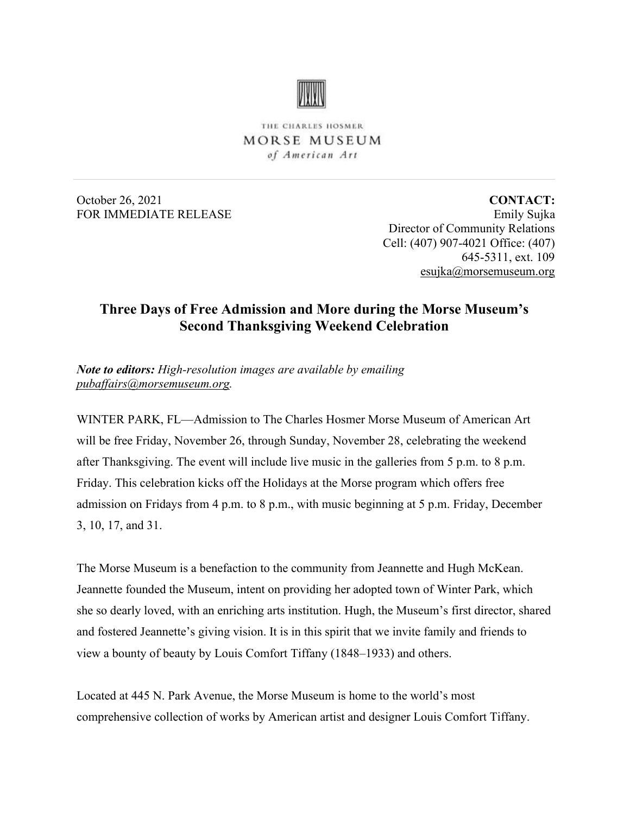

THE CHARLES HOSMER MORSE MUSEUM of American Art

October 26, 2021 FOR IMMEDIATE RELEASE

**CONTACT:** Emily Sujka Director of Community Relations Cell: (407) 907-4021 Office: (407) 645-5311, ext. 109 [esujka@morsemuseum.org](mailto:esujka@morsemuseum.org)

## **Three Days of Free Admission and More during the Morse Museum's Second Thanksgiving Weekend Celebration**

*Note to editors: High-resolution images are available by emailing [pubaffairs@morsemuseum.org.](mailto:pubaffairs@morsemuseum.org)*

WINTER PARK, FL—Admission to The Charles Hosmer Morse Museum of American Art will be free Friday, November 26, through Sunday, November 28, celebrating the weekend after Thanksgiving. The event will include live music in the galleries from 5 p.m. to 8 p.m. Friday. This celebration kicks off the Holidays at the Morse program which offers free admission on Fridays from 4 p.m. to 8 p.m., with music beginning at 5 p.m. Friday, December 3, 10, 17, and 31.

The Morse Museum is a benefaction to the community from Jeannette and Hugh McKean. Jeannette founded the Museum, intent on providing her adopted town of Winter Park, which she so dearly loved, with an enriching arts institution. Hugh, the Museum's first director, shared and fostered Jeannette's giving vision. It is in this spirit that we invite family and friends to view a bounty of beauty by Louis Comfort Tiffany (1848–1933) and others.

Located at 445 N. Park Avenue, the Morse Museum is home to the world's most comprehensive collection of works by American artist and designer Louis Comfort Tiffany.